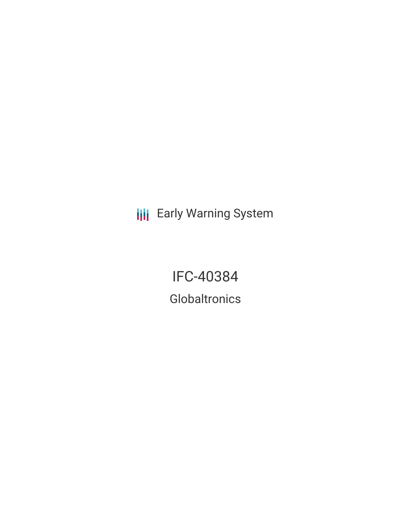**III** Early Warning System

IFC-40384 **Globaltronics**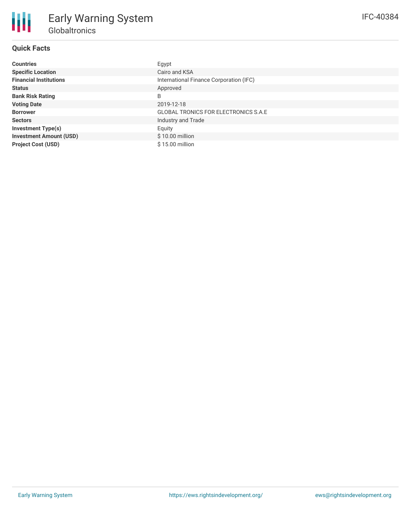| Countries                      | Egypt                                       |
|--------------------------------|---------------------------------------------|
| <b>Specific Location</b>       | Cairo and KSA                               |
| <b>Financial Institutions</b>  | International Finance Corporation (IFC)     |
| Status                         | Approved                                    |
| <b>Bank Risk Rating</b>        | B                                           |
| <b>Voting Date</b>             | 2019-12-18                                  |
| <b>Borrower</b>                | <b>GLOBAL TRONICS FOR ELECTRONICS S.A.E</b> |
| Sectors                        | Industry and Trade                          |
| <b>Investment Type(s)</b>      | Equity                                      |
| <b>Investment Amount (USD)</b> | \$10.00 million                             |
| <b>Project Cost (USD)</b>      | \$15.00 million                             |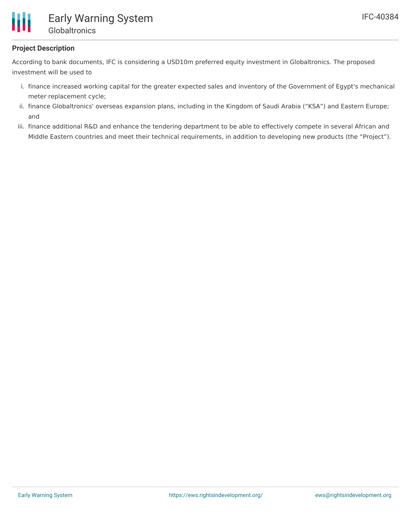

# **Project Description**

According to bank documents, IFC is considering a USD10m preferred equity investment in Globaltronics. The proposed investment will be used to

- i. finance increased working capital for the greater expected sales and inventory of the Government of Egypt's mechanical meter replacement cycle;
- ii. finance Globaltronics' overseas expansion plans, including in the Kingdom of Saudi Arabia ("KSA") and Eastern Europe; and
- iii. finance additional R&D and enhance the tendering department to be able to effectively compete in several African and Middle Eastern countries and meet their technical requirements, in addition to developing new products (the "Project").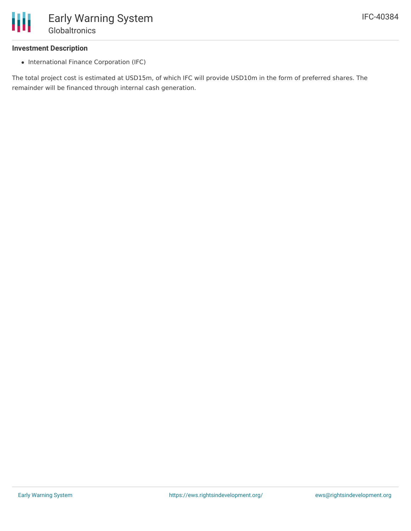

#### **Investment Description**

• International Finance Corporation (IFC)

The total project cost is estimated at USD15m, of which IFC will provide USD10m in the form of preferred shares. The remainder will be financed through internal cash generation.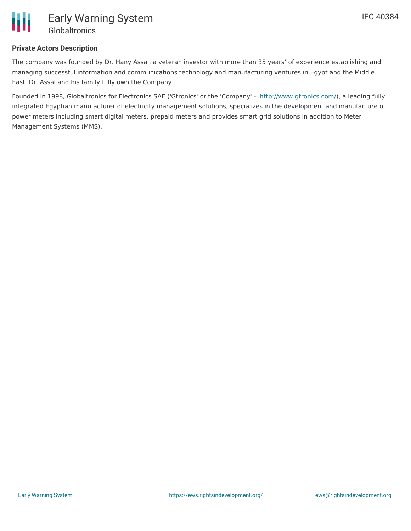

# **Private Actors Description**

The company was founded by Dr. Hany Assal, a veteran investor with more than 35 years' of experience establishing and managing successful information and communications technology and manufacturing ventures in Egypt and the Middle East. Dr. Assal and his family fully own the Company.

Founded in 1998, Globaltronics for Electronics SAE ('Gtronics' or the 'Company' - <http://www.gtronics.com/>), a leading fully integrated Egyptian manufacturer of electricity management solutions, specializes in the development and manufacture of power meters including smart digital meters, prepaid meters and provides smart grid solutions in addition to Meter Management Systems (MMS).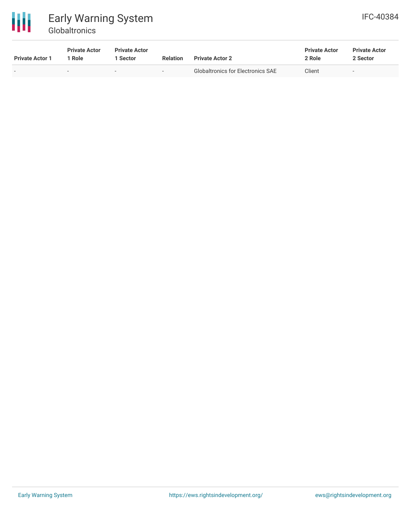

# Early Warning System **Globaltronics**

| <b>Private Actor 1</b> | <b>Private Actor</b><br>l Role | <b>Private Actor</b><br>Sector | <b>Relation</b> | <b>Private Actor 2</b>                   | <b>Private Actor</b><br>2 Role | <b>Private Actor</b><br>2 Sector |  |
|------------------------|--------------------------------|--------------------------------|-----------------|------------------------------------------|--------------------------------|----------------------------------|--|
|                        | $\overline{\phantom{0}}$       |                                | -               | <b>Globaltronics for Electronics SAE</b> | Client                         |                                  |  |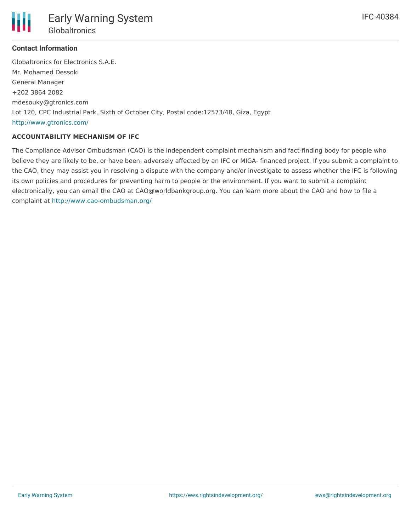

## **Contact Information**

Globaltronics for Electronics S.A.E. Mr. Mohamed Dessoki General Manager +202 3864 2082 mdesouky@gtronics.com Lot 120, CPC Industrial Park, Sixth of October City, Postal code:12573/48, Giza, Egypt <http://www.gtronics.com/>

## **ACCOUNTABILITY MECHANISM OF IFC**

The Compliance Advisor Ombudsman (CAO) is the independent complaint mechanism and fact-finding body for people who believe they are likely to be, or have been, adversely affected by an IFC or MIGA- financed project. If you submit a complaint to the CAO, they may assist you in resolving a dispute with the company and/or investigate to assess whether the IFC is following its own policies and procedures for preventing harm to people or the environment. If you want to submit a complaint electronically, you can email the CAO at CAO@worldbankgroup.org. You can learn more about the CAO and how to file a complaint at <http://www.cao-ombudsman.org/>